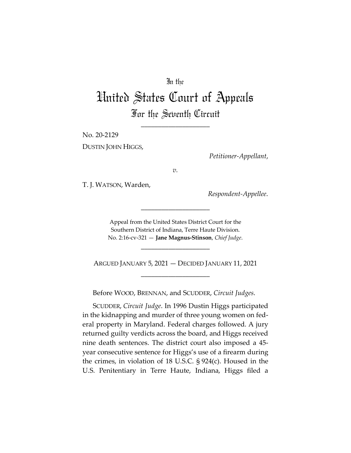## In the

# United States Court of Appeals For the Seventh Circuit

\_\_\_\_\_\_\_\_\_\_\_\_\_\_\_\_\_\_\_\_

No. 20-2129

DUSTIN JOHN HIGGS,

*Petitioner-Appellant*,

*v.*

T. J. WATSON, Warden,

*Respondent-Appellee*.

Appeal from the United States District Court for the Southern District of Indiana, Terre Haute Division. No. 2:16-cv-321 — **Jane Magnus-Stinson**, *Chief Judge*.

\_\_\_\_\_\_\_\_\_\_\_\_\_\_\_\_\_\_\_\_

\_\_\_\_\_\_\_\_\_\_\_\_\_\_\_\_\_\_\_\_

ARGUED JANUARY 5, 2021 — DECIDED JANUARY 11, 2021 \_\_\_\_\_\_\_\_\_\_\_\_\_\_\_\_\_\_\_\_

Before WOOD, BRENNAN, and SCUDDER, *Circuit Judges*.

SCUDDER, *Circuit Judge*. In 1996 Dustin Higgs participated in the kidnapping and murder of three young women on federal property in Maryland. Federal charges followed. A jury returned guilty verdicts across the board, and Higgs received nine death sentences. The district court also imposed a 45 year consecutive sentence for Higgs's use of a firearm during the crimes, in violation of 18 U.S.C. § 924(c). Housed in the U.S. Penitentiary in Terre Haute, Indiana, Higgs filed a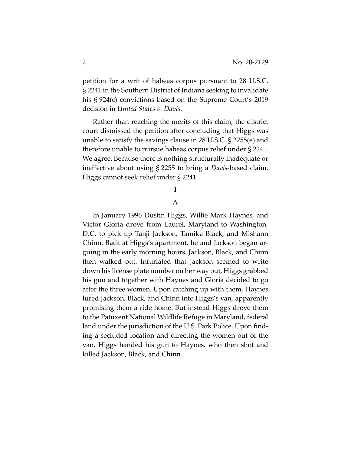petition for a writ of habeas corpus pursuant to 28 U.S.C. § 2241 in the Southern District of Indiana seeking to invalidate his § 924(c) convictions based on the Supreme Court's 2019 decision in *United States v. Davis*.

Rather than reaching the merits of this claim, the district court dismissed the petition after concluding that Higgs was unable to satisfy the savings clause in 28 U.S.C. § 2255(e) and therefore unable to pursue habeas corpus relief under § 2241. We agree. Because there is nothing structurally inadequate or ineffective about using § 2255 to bring a *Davis*-based claim, Higgs cannot seek relief under § 2241.

## **I**

## A

In January 1996 Dustin Higgs, Willie Mark Haynes, and Victor Gloria drove from Laurel, Maryland to Washington, D.C. to pick up Tanji Jackson, Tamika Black, and Mishann Chinn. Back at Higgs's apartment, he and Jackson began arguing in the early morning hours. Jackson, Black, and Chinn then walked out. Infuriated that Jackson seemed to write down his license plate number on her way out, Higgs grabbed his gun and together with Haynes and Gloria decided to go after the three women. Upon catching up with them, Haynes lured Jackson, Black, and Chinn into Higgs's van, apparently promising them a ride home. But instead Higgs drove them to the Patuxent National Wildlife Refuge in Maryland, federal land under the jurisdiction of the U.S. Park Police. Upon finding a secluded location and directing the women out of the van, Higgs handed his gun to Haynes, who then shot and killed Jackson, Black, and Chinn.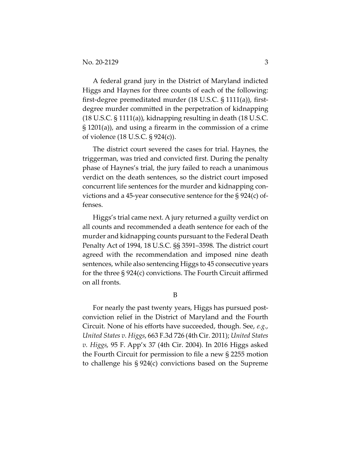A federal grand jury in the District of Maryland indicted Higgs and Haynes for three counts of each of the following: first-degree premeditated murder (18 U.S.C. § 1111(a)), firstdegree murder committed in the perpetration of kidnapping (18 U.S.C. § 1111(a)), kidnapping resulting in death (18 U.S.C. § 1201(a)), and using a firearm in the commission of a crime of violence (18 U.S.C. § 924(c)).

The district court severed the cases for trial. Haynes, the triggerman, was tried and convicted first. During the penalty phase of Haynes's trial, the jury failed to reach a unanimous verdict on the death sentences, so the district court imposed concurrent life sentences for the murder and kidnapping convictions and a 45-year consecutive sentence for the § 924(c) offenses.

Higgs's trial came next. A jury returned a guilty verdict on all counts and recommended a death sentence for each of the murder and kidnapping counts pursuant to the Federal Death Penalty Act of 1994, 18 U.S.C. §§ 3591–3598. The district court agreed with the recommendation and imposed nine death sentences, while also sentencing Higgs to 45 consecutive years for the three § 924(c) convictions. The Fourth Circuit affirmed on all fronts.

B

For nearly the past twenty years, Higgs has pursued postconviction relief in the District of Maryland and the Fourth Circuit. None of his efforts have succeeded, though. See, *e.g.*, *United States v. Higgs*, 663 F.3d 726 (4th Cir. 2011); *United States v. Higgs*, 95 F. App'x 37 (4th Cir. 2004). In 2016 Higgs asked the Fourth Circuit for permission to file a new § 2255 motion to challenge his § 924(c) convictions based on the Supreme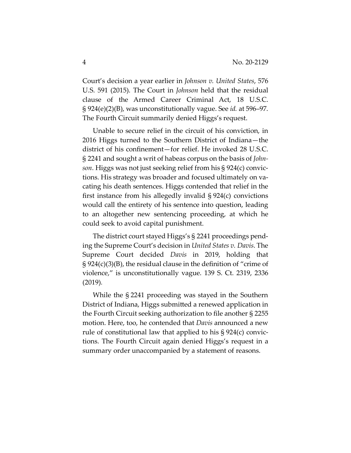Court's decision a year earlier in *Johnson v. United States*, 576 U.S. 591 (2015). The Court in *Johnson* held that the residual clause of the Armed Career Criminal Act, 18 U.S.C. § 924(e)(2)(B), was unconstitutionally vague. See *id.* at 596–97. The Fourth Circuit summarily denied Higgs's request.

Unable to secure relief in the circuit of his conviction, in 2016 Higgs turned to the Southern District of Indiana—the district of his confinement—for relief. He invoked 28 U.S.C. § 2241 and sought a writ of habeas corpus on the basis of *Johnson*. Higgs was not just seeking relief from his § 924(c) convictions. His strategy was broader and focused ultimately on vacating his death sentences. Higgs contended that relief in the first instance from his allegedly invalid § 924(c) convictions would call the entirety of his sentence into question, leading to an altogether new sentencing proceeding, at which he could seek to avoid capital punishment.

The district court stayed Higgs's § 2241 proceedings pending the Supreme Court's decision in *United States v. Davis*. The Supreme Court decided *Davis* in 2019, holding that § 924(c)(3)(B), the residual clause in the definition of "crime of violence," is unconstitutionally vague. 139 S. Ct. 2319, 2336 (2019)*.*

While the § 2241 proceeding was stayed in the Southern District of Indiana, Higgs submitted a renewed application in the Fourth Circuit seeking authorization to file another § 2255 motion. Here, too, he contended that *Davis* announced a new rule of constitutional law that applied to his § 924(c) convictions. The Fourth Circuit again denied Higgs's request in a summary order unaccompanied by a statement of reasons.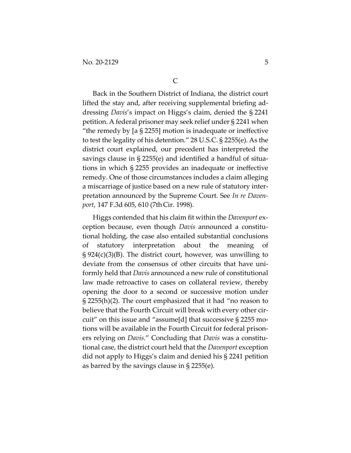Back in the Southern District of Indiana, the district court lifted the stay and, after receiving supplemental briefing addressing *Davis*'s impact on Higgs's claim, denied the § 2241 petition. A federal prisoner may seek relief under § 2241 when "the remedy by  $[a \S 2255]$  motion is inadequate or ineffective to test the legality of his detention." 28 U.S.C. § 2255(e). As the district court explained, our precedent has interpreted the savings clause in § 2255(e) and identified a handful of situations in which § 2255 provides an inadequate or ineffective remedy. One of those circumstances includes a claim alleging a miscarriage of justice based on a new rule of statutory interpretation announced by the Supreme Court. See *In re Davenport*, 147 F.3d 605, 610 (7thCir. 1998).

Higgs contended that his claim fit within the *Davenport* exception because, even though *Davis* announced a constitutional holding, the case also entailed substantial conclusions of statutory interpretation about the meaning of  $\S 924(c)(3)(B)$ . The district court, however, was unwilling to deviate from the consensus of other circuits that have uniformly held that *Davis* announced a new rule of constitutional law made retroactive to cases on collateral review, thereby opening the door to a second or successive motion under § 2255(h)(2). The court emphasized that it had "no reason to believe that the Fourth Circuit will break with every other circuit" on this issue and "assume[d] that successive § 2255 motions will be available in the Fourth Circuit for federal prisoners relying on *Davis*." Concluding that *Davis* was a constitutional case, the district court held that the *Davenport* exception did not apply to Higgs's claim and denied his § 2241 petition as barred by the savings clause in § 2255(e).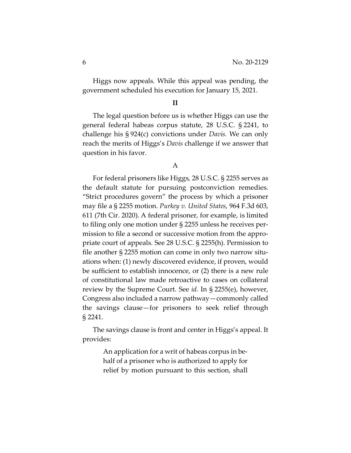Higgs now appeals. While this appeal was pending, the government scheduled his execution for January 15, 2021.

#### **II**

The legal question before us is whether Higgs can use the general federal habeas corpus statute, 28 U.S.C. § 2241, to challenge his § 924(c) convictions under *Davis.* We can only reach the merits of Higgs's *Davis* challenge if we answer that question in his favor.

### A

For federal prisoners like Higgs, 28 U.S.C. § 2255 serves as the default statute for pursuing postconviction remedies. "Strict procedures govern" the process by which a prisoner may file a § 2255 motion. *Purkey v. United States*, 964 F.3d 603, 611 (7th Cir. 2020). A federal prisoner, for example, is limited to filing only one motion under § 2255 unless he receives permission to file a second or successive motion from the appropriate court of appeals. See 28 U.S.C. § 2255(h). Permission to file another § 2255 motion can come in only two narrow situations when: (1) newly discovered evidence, if proven, would be sufficient to establish innocence, or (2) there is a new rule of constitutional law made retroactive to cases on collateral review by the Supreme Court. See *id.* In § 2255(e), however, Congress also included a narrow pathway—commonly called the savings clause—for prisoners to seek relief through § 2241.

The savings clause is front and center in Higgs's appeal. It provides:

> An application for a writ of habeas corpus in behalf of a prisoner who is authorized to apply for relief by motion pursuant to this section, shall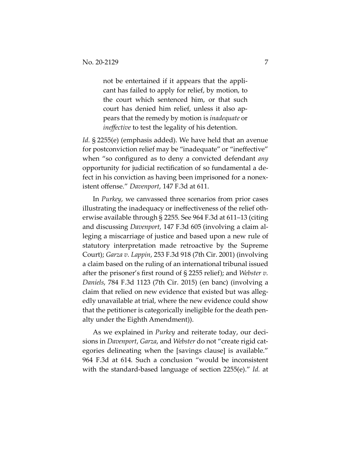not be entertained if it appears that the applicant has failed to apply for relief, by motion, to the court which sentenced him, or that such court has denied him relief, unless it also appears that the remedy by motion is *inadequate* or *ineffective* to test the legality of his detention.

*Id.* § 2255(e) (emphasis added). We have held that an avenue for postconviction relief may be "inadequate" or "ineffective" when "so configured as to deny a convicted defendant *any*  opportunity for judicial rectification of so fundamental a defect in his conviction as having been imprisoned for a nonexistent offense." *Davenport*, 147 F.3d at 611.

In *Purkey*, we canvassed three scenarios from prior cases illustrating the inadequacy or ineffectiveness of the relief otherwise available through § 2255. See 964 F.3d at 611–13 (citing and discussing *Davenport*, 147 F.3d 605 (involving a claim alleging a miscarriage of justice and based upon a new rule of statutory interpretation made retroactive by the Supreme Court); *Garza v. Lappin*, 253 F.3d 918 (7th Cir. 2001) (involving a claim based on the ruling of an international tribunal issued after the prisoner's first round of § 2255 relief); and *Webster v. Daniels*, 784 F.3d 1123 (7th Cir. 2015) (en banc) (involving a claim that relied on new evidence that existed but was allegedly unavailable at trial, where the new evidence could show that the petitioner is categorically ineligible for the death penalty under the Eighth Amendment)).

As we explained in *Purkey* and reiterate today, our decisions in *Davenport*, *Garza*, and *Webster* do not "create rigid categories delineating when the [savings clause] is available." 964 F.3d at 614. Such a conclusion "would be inconsistent with the standard-based language of section 2255(e)." *Id.* at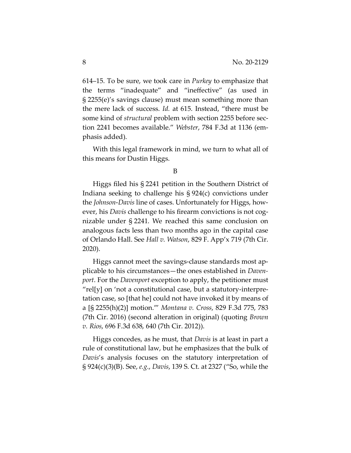614–15. To be sure, we took care in *Purkey* to emphasize that the terms "inadequate" and "ineffective" (as used in § 2255(e)'s savings clause) must mean something more than the mere lack of success. *Id.* at 615. Instead, "there must be some kind of *structural* problem with section 2255 before section 2241 becomes available." *Webster*, 784 F.3d at 1136 (emphasis added).

With this legal framework in mind, we turn to what all of this means for Dustin Higgs.

Higgs filed his § 2241 petition in the Southern District of Indiana seeking to challenge his § 924(c) convictions under the *Johnson*-*Davis* line of cases. Unfortunately for Higgs, however, his *Davis* challenge to his firearm convictions is not cognizable under § 2241. We reached this same conclusion on analogous facts less than two months ago in the capital case of Orlando Hall. See *Hall v. Watson*, 829 F. App'x 719 (7th Cir. 2020).

Higgs cannot meet the savings-clause standards most applicable to his circumstances—the ones established in *Davenport*. For the *Davenport* exception to apply, the petitioner must "rel[y] on 'not a constitutional case, but a statutory-interpretation case, so [that he] could not have invoked it by means of a [§ 2255(h)(2)] motion.'" *Montana v. Cross*, 829 F.3d 775, 783 (7th Cir. 2016) (second alteration in original) (quoting *Brown v. Rios*, 696 F.3d 638, 640 (7th Cir. 2012)).

Higgs concedes, as he must, that *Davis* is at least in part a rule of constitutional law, but he emphasizes that the bulk of *Davis*'s analysis focuses on the statutory interpretation of § 924(c)(3)(B). See, *e.g.*, *Davis*, 139 S. Ct. at 2327 ("So, while the

B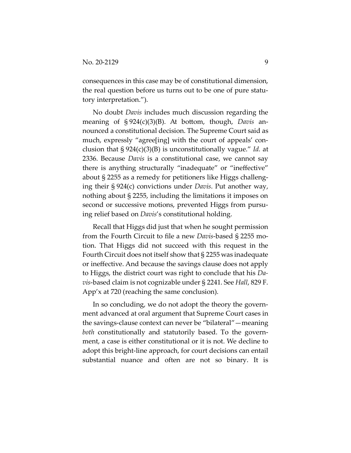consequences in this case may be of constitutional dimension, the real question before us turns out to be one of pure statutory interpretation.").

No doubt *Davis* includes much discussion regarding the meaning of § 924(c)(3)(B). At bottom, though, *Davis* announced a constitutional decision. The Supreme Court said as much, expressly "agree[ing] with the court of appeals' conclusion that § 924(c)(3)(B) is unconstitutionally vague." *Id.* at 2336. Because *Davis* is a constitutional case, we cannot say there is anything structurally "inadequate" or "ineffective" about § 2255 as a remedy for petitioners like Higgs challenging their § 924(c) convictions under *Davis*. Put another way, nothing about § 2255, including the limitations it imposes on second or successive motions, prevented Higgs from pursuing relief based on *Davis*'s constitutional holding.

Recall that Higgs did just that when he sought permission from the Fourth Circuit to file a new *Davis*-based § 2255 motion. That Higgs did not succeed with this request in the Fourth Circuit does not itself show that § 2255 was inadequate or ineffective. And because the savings clause does not apply to Higgs, the district court was right to conclude that his *Davis*-based claim is not cognizable under § 2241. See *Hall*, 829 F. App'x at 720 (reaching the same conclusion).

In so concluding, we do not adopt the theory the government advanced at oral argument that Supreme Court cases in the savings-clause context can never be "bilateral"—meaning *both* constitutionally and statutorily based. To the government, a case is either constitutional or it is not. We decline to adopt this bright-line approach, for court decisions can entail substantial nuance and often are not so binary. It is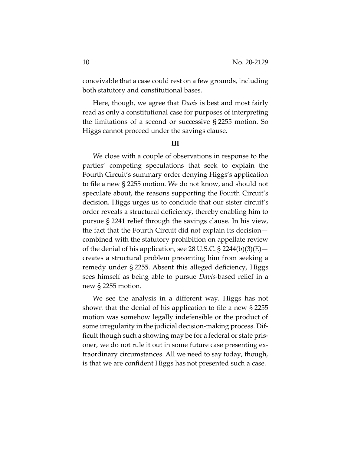conceivable that a case could rest on a few grounds, including both statutory and constitutional bases.

Here, though, we agree that *Davis* is best and most fairly read as only a constitutional case for purposes of interpreting the limitations of a second or successive § 2255 motion. So Higgs cannot proceed under the savings clause.

#### **III**

We close with a couple of observations in response to the parties' competing speculations that seek to explain the Fourth Circuit's summary order denying Higgs's application to file a new § 2255 motion. We do not know, and should not speculate about, the reasons supporting the Fourth Circuit's decision. Higgs urges us to conclude that our sister circuit's order reveals a structural deficiency, thereby enabling him to pursue § 2241 relief through the savings clause. In his view, the fact that the Fourth Circuit did not explain its decision combined with the statutory prohibition on appellate review of the denial of his application, see 28 U.S.C.  $\S$  2244(b)(3)(E) – creates a structural problem preventing him from seeking a remedy under § 2255. Absent this alleged deficiency, Higgs sees himself as being able to pursue *Davis*-based relief in a new § 2255 motion.

We see the analysis in a different way. Higgs has not shown that the denial of his application to file a new § 2255 motion was somehow legally indefensible or the product of some irregularity in the judicial decision-making process. Difficult though such a showing may be for a federal or state prisoner, we do not rule it out in some future case presenting extraordinary circumstances. All we need to say today, though, is that we are confident Higgs has not presented such a case.